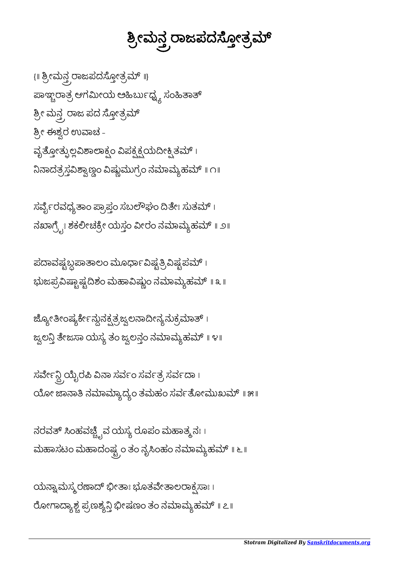ಯನ್ನಾಮಸ್ಮರಣಾದ್ ಭೀತಾಃ ಭೂತವೇತಾಲರಾಕ್ಸಸಾಃ । ರೋಗಾದ್ಯಾಶ್ಚ ಪ್ರಣಶ್ಯ<mark>ನ್ತಿ</mark> ಭೀಷಣಂ ತಂ ನಮಾಮ್ಯಹಮ್ ॥ ೭॥

ನರವತ್ ಸಿಂಹವಚ್ಚ್ವಿವ ಯಸ್ಯ ರೂಪಂ ಮಹಾತ್ಮ ನಃ । ಮಹಾಸಟಂ ಮಹಾದಂಷ್ಟ್ರಂ ತಂ ನೃಸಿಂಹಂ ನಮಾಮ್ಯಹಮ್ ॥ ೬ ॥

ಸರ್ವೇನ್ದಿ ಯೈರಪಿ ವಿನಾ ಸರ್ವಂ ಸರ್ವತ್ರ ಸರ್ವದಾ। ಯೋ ಜಾನಾತಿ ನಮಾಮ್ಯಾದ್ಯಂ ತಮಹಂ ಸರ್ವತೋಮುಖಮ್ ॥ ೫॥

ಜ್ಯೋತೀಂಷ್ಯರ್ಕೇನ್ಗುನಕ್ಷತ್ರಜ್ವಲನಾದೀನ್ಯನುಕ್ರಮಾತ್। ಜ್ವಲನ್ತಿ ತೇಜಸಾ ಯಸ್ಯ ತಂ ಜ್ವಲನ್ತಂ ನಮಾಮ್ಯಹಮ್ ॥ ೪॥

ಪದಾವಷ್ಟಬ್ದಪಾತಾಲಂ ಮೂರ್ಧಾವಿಷ್ಟತ್ರಿವಿಷ್ಟಪಮ್ । ಭುಜಪ್ರವಿಷ್ಣಾಷ್ಟದಿಶಂ ಮಹಾವಿಷ್ಣುಂ ನಮಾಮ್ಯಹಮ್ ॥ ೩ ॥

ಸರ್ವೈರವಧ್ಯತಾಂ ಪ್ರಾಪ್ತಂ ಸಬಲೌಘಂ ದಿತೇಃ ಸುತಮ್ । ನಖಾಗ್ರ್ವೇ ಶಕಲೀಚಕ್ರೇ ಯಸ್ತಂ ವೀರಂ ನಮಾಮ್ಯಹಮ್ ॥ ೨॥

{॥ ಶ್ರೀಮನ್ತ ರಾಜಪದಸ್ತೋತ್ರಮ್ ॥} ಪಾಞ್ಚರಾತ್ರ ಆಗಮೀಯ ಅಹಿರ್ಬುಧ್<mark>ನ್</mark>ಯ ಸಂಹಿತಾತ್ <mark>ಶ್ರೀ ಮನ್ತ್ರ ರಾಜ ಪದ ಸ್ತೋತ್ರಮ್</mark> ಶ್ರೀ ಈಶ್ವರ ಉವಾಚ -ವೃತ್ತೋತ್ಪುಲ್ಲವಿಶಾಲಾಕ್ಸಂ ವಿಪಕ್ಷಕ್ಷಯದೀಕ್ಷಿತಮ್ । ನಿನಾದತ್ರಸ್ತವಿಶ್ವಾಣ್ಣಂ ವಿಷ್ಣುಮುಗ್ರಂ ನಮಾಮ್ಯಹಮ್ ॥ ೧॥

ತ್ರೀಮ್ತನ್ರ ರಾಜಪದಸ್ತೋತ್ರಮ್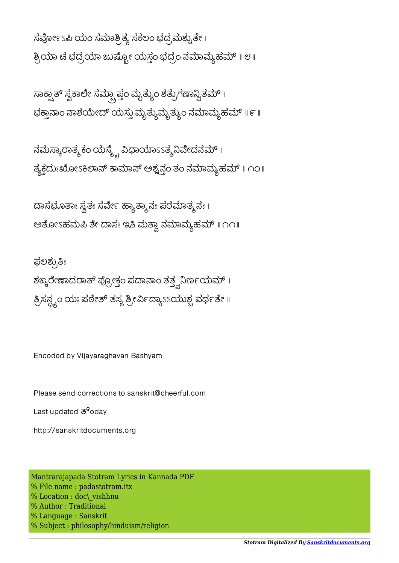http://sanskritdocuments.org

Last updated  $\overline{3}^6$ odav

Please send corrections to sanskrit@cheerful.com

ಘಲಶ್ಕುತಿಃ

Encoded by Vijayaraghavan Bashyam

ನಮಸ್ಕಾರಾತ್ಮಕಂ ಯಸ್ಮ್ಟೆ ವಿಧಾಯಾ $\overline{s}$ ತ್ಯ ನಿವೇದನಮ್ । ತ್ಯಕ್ತದುಃಖೋಽಕಿಲಾನ್ ಕಾಮಾನ್ ಅಶ್ವನ್ಗಂ ತಂ ನಮಾಮ್ಯಹಮ್ ॥ ೧೦॥

ದಾಸಭೂತಾಃ ಸ್ವತಃ ಸರ್ವೇ ಹ್ಯಾತ್ಮಾನಃ ಪರಮಾತ್ಮನಃ।

ಅತೋಽಹಮಪಿ ತೇ ದಾಸಃ ಇತಿ ಮತ್ತಾ ನಮಾಮ್ಯಹಮ್ ॥ ೧೧॥

ಶಙ್ಕರೇಣಾದರಾತ್ ಪ್ರೋಕ್ತಂ ಪದಾನಾಂ ತತ್ತ್ವನಿರ್ಣಯಮ್ ।

ತ್ರಿಸನ್ದ್ಯಂ ಯಃ ಪಠೇತ್ ತಸ್ಯ ಶ್ರೀರ್ವಿದ್ಯಾssಯುಶ್ಚ ವರ್ಧತೇ ॥

ಸಾಕ್ಷ್ಪಾತ್ ಸ್ವಕಾಲೇ ಸಮ್ಪಾ ಪ್ತಂ ಮೃತ್ಯುಂ ಶತ್ರುಗಣಾನ್ವಿತಮ್ । ಭಕ್ತಾನಾಂ ನಾಶಯೇದ್ ಯಸ್ತು ಮೃತ್ಯುಮೃತ್ಯುಂ ನಮಾಮ್ಯಹಮ್ ॥ ೯॥

ಸರ್ವೋಽಪಿ ಯಂ ಸಮಾಶ್ರಿತ್ಯ ಸಕಲಂ ಭದ್ರಮಶ್ವುತೇ । ಶ್ರಿಯಾ ಚ ಭದ್ರಯಾ ಜುಷ್ಪೋ ಯಸ್ತಂ ಭದ್ರಂ ನಮಾಮ್ಯಹಮ್ ॥ ೮॥